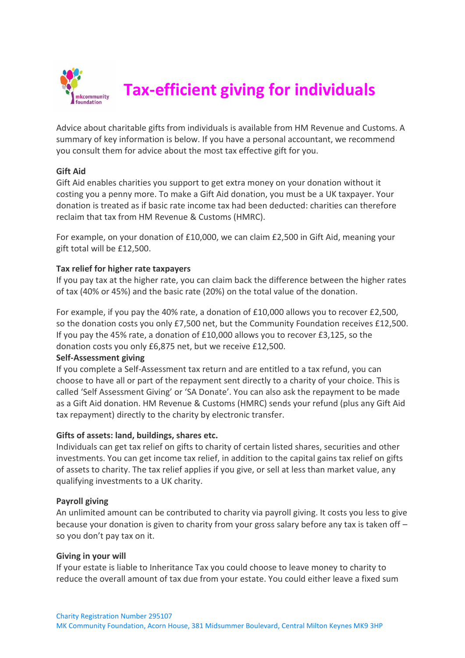

# **Tax-efficient giving for individuals**

Advice about charitable gifts from individuals is available from HM Revenue and Customs. A summary of key information is below. If you have a personal accountant, we recommend you consult them for advice about the most tax effective gift for you.

# **Gift Aid**

Gift Aid enables charities you support to get extra money on your donation without it costing you a penny more. To make a Gift Aid donation, you must be a UK taxpayer. Your donation is treated as if basic rate income tax had been deducted: charities can therefore reclaim that tax from HM Revenue & Customs (HMRC).

For example, on your donation of £10,000, we can claim £2,500 in Gift Aid, meaning your gift total will be £12,500.

# **Tax relief for higher rate taxpayers**

If you pay tax at the higher rate, you can claim back the difference between the higher rates of tax (40% or 45%) and the basic rate (20%) on the total value of the donation.

For example, if you pay the 40% rate, a donation of £10,000 allows you to recover £2,500, so the donation costs you only £7,500 net, but the Community Foundation receives £12,500. If you pay the 45% rate, a donation of £10,000 allows you to recover £3,125, so the donation costs you only £6,875 net, but we receive £12,500.

### **Self-Assessment giving**

If you complete a Self-Assessment tax return and are entitled to a tax refund, you can choose to have all or part of the repayment sent directly to a charity of your choice. This is called 'Self Assessment Giving' or 'SA Donate'. You can also ask the repayment to be made as a Gift Aid donation. HM Revenue & Customs (HMRC) sends your refund (plus any Gift Aid tax repayment) directly to the charity by electronic transfer.

### **Gifts of assets: land, buildings, shares etc.**

Individuals can get tax relief on gifts to charity of certain listed shares, securities and other investments. You can get income tax relief, in addition to the capital gains tax relief on gifts of assets to charity. The tax relief applies if you give, or sell at less than market value, any qualifying investments to a UK charity.

### **Payroll giving**

An unlimited amount can be contributed to charity via payroll giving. It costs you less to give because your donation is given to charity from your gross salary before any tax is taken off – so you don't pay tax on it.

### **Giving in your will**

If your estate is liable to Inheritance Tax you could choose to leave money to charity to reduce the overall amount of tax due from your estate. You could either leave a fixed sum